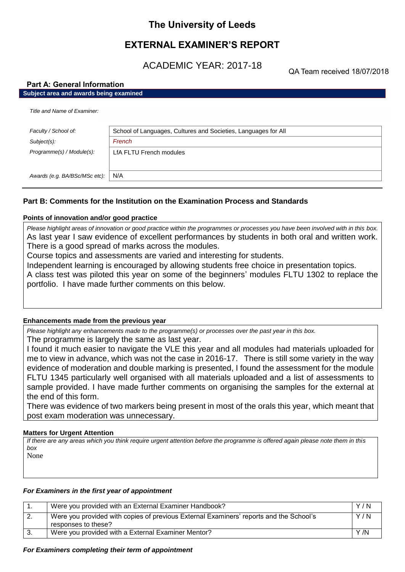# **The University of Leeds**

# **EXTERNAL EXAMINER'S REPORT**

ACADEMIC YEAR: 2017-18

QA Team received 18/07/2018

# **Part A: General Information**

# **Subject area and awards being examined**

|  | Title and Name of Examiner. |
|--|-----------------------------|
|  |                             |

| Faculty / School of:          | School of Languages, Cultures and Societies, Languages for All |
|-------------------------------|----------------------------------------------------------------|
| Subject(s):                   | French                                                         |
| Programme(s) / Module(s):     | LfA FLTU French modules                                        |
| Awards (e.g. BA/BSc/MSc etc): | N/A                                                            |

# **Part B: Comments for the Institution on the Examination Process and Standards**

# **Points of innovation and/or good practice**

*Please highlight areas of innovation or good practice within the programmes or processes you have been involved with in this box.* As last year I saw evidence of excellent performances by students in both oral and written work. There is a good spread of marks across the modules.

Course topics and assessments are varied and interesting for students.

Independent learning is encouraged by allowing students free choice in presentation topics.

A class test was piloted this year on some of the beginners' modules FLTU 1302 to replace the portfolio. I have made further comments on this below.

# **Enhancements made from the previous year**

*Please highlight any enhancements made to the programme(s) or processes over the past year in this box.*

The programme is largely the same as last year.

I found it much easier to navigate the VLE this year and all modules had materials uploaded for me to view in advance, which was not the case in 2016-17. There is still some variety in the way evidence of moderation and double marking is presented, I found the assessment for the module FLTU 1345 particularly well organised with all materials uploaded and a list of assessments to sample provided. I have made further comments on organising the samples for the external at the end of this form.

There was evidence of two markers being present in most of the orals this year, which meant that post exam moderation was unnecessary.

# **Matters for Urgent Attention**

*If there are any areas which you think require urgent attention before the programme is offered again please note them in this box* None

# *For Examiners in the first year of appointment*

|    | Were you provided with an External Examiner Handbook?                                                         | Y/N |
|----|---------------------------------------------------------------------------------------------------------------|-----|
| Ζ. | Were you provided with copies of previous External Examiners' reports and the School's<br>responses to these? | Y/N |
|    | Were you provided with a External Examiner Mentor?                                                            | Y/N |

# *For Examiners completing their term of appointment*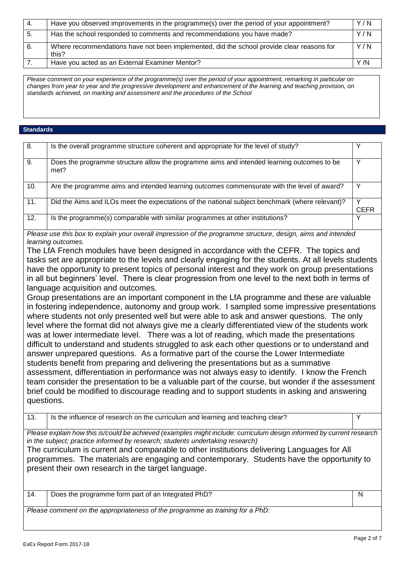| -4. | Have you observed improvements in the programme(s) over the period of your appointment?            | Y/N  |
|-----|----------------------------------------------------------------------------------------------------|------|
| 5.  | Has the school responded to comments and recommendations you have made?                            | Y/N  |
| 6.  | Where recommendations have not been implemented, did the school provide clear reasons for<br>this? | Y/N  |
|     | Have you acted as an External Examiner Mentor?                                                     | Y /N |

*Please comment on your experience of the programme(s) over the period of your appointment, remarking in particular on*  changes from year to year and the progressive development and enhancement of the learning and teaching provision, on *standards achieved, on marking and assessment and the procedures of the School*

## **Standards**

| 8.  | Is the overall programme structure coherent and appropriate for the level of study?                |             |
|-----|----------------------------------------------------------------------------------------------------|-------------|
| 9.  | Does the programme structure allow the programme aims and intended learning outcomes to be<br>met? |             |
| 10. | Are the programme aims and intended learning outcomes commensurate with the level of award?        |             |
| 11. | Did the Aims and ILOs meet the expectations of the national subject benchmark (where relevant)?    | <b>CEFR</b> |
| 12. | Is the programme(s) comparable with similar programmes at other institutions?                      |             |

*Please use this box to explain your overall impression of the programme structure, design, aims and intended learning outcomes.*

The LfA French modules have been designed in accordance with the CEFR. The topics and tasks set are appropriate to the levels and clearly engaging for the students. At all levels students have the opportunity to present topics of personal interest and they work on group presentations in all but beginners' level. There is clear progression from one level to the next both in terms of language acquisition and outcomes.

Group presentations are an important component in the LfA programme and these are valuable in fostering independence, autonomy and group work. I sampled some impressive presentations where students not only presented well but were able to ask and answer questions. The only level where the format did not always give me a clearly differentiated view of the students work was at lower intermediate level. There was a lot of reading, which made the presentations difficult to understand and students struggled to ask each other questions or to understand and answer unprepared questions. As a formative part of the course the Lower Intermediate students benefit from preparing and delivering the presentations but as a summative assessment, differentiation in performance was not always easy to identify. I know the French team consider the presentation to be a valuable part of the course, but wonder if the assessment brief could be modified to discourage reading and to support students in asking and answering questions.

13. Is the influence of research on the curriculum and learning and teaching clear? *Please explain how this is/could be achieved (examples might include: curriculum design informed by current research in the subject; practice informed by research; students undertaking research)* The curriculum is current and comparable to other institutions delivering Languages for All programmes. The materials are engaging and contemporary. Students have the opportunity to present their own research in the target language. 14. Does the programme form part of an Integrated PhD?

*Please comment on the appropriateness of the programme as training for a PhD:*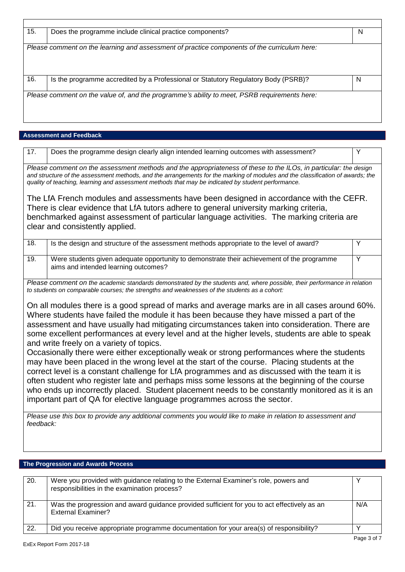| 15. | Does the programme include clinical practice components?                                     | N |
|-----|----------------------------------------------------------------------------------------------|---|
|     |                                                                                              |   |
|     | Please comment on the learning and assessment of practice components of the curriculum here: |   |
|     |                                                                                              |   |
|     |                                                                                              |   |
|     |                                                                                              |   |
| 16. | Is the programme accredited by a Professional or Statutory Regulatory Body (PSRB)?           | N |
|     |                                                                                              |   |
|     | Please comment on the value of, and the programme's ability to meet, PSRB requirements here: |   |
|     |                                                                                              |   |
|     |                                                                                              |   |
|     |                                                                                              |   |

# **Assessment and Feedback**

| Does the programme design clearly align intended learning outcomes with assessment?<br>17.<br>Y<br>Please comment on the assessment methods and the appropriateness of these to the ILOs, in particular: the design<br>and structure of the assessment methods, and the arrangements for the marking of modules and the classification of awards; the<br>quality of teaching, learning and assessment methods that may be indicated by student performance.<br>The LfA French modules and assessments have been designed in accordance with the CEFR.<br>There is clear evidence that LfA tutors adhere to general university marking criteria,<br>benchmarked against assessment of particular language activities. The marking criteria are<br>clear and consistently applied.<br>$\overline{18}$ .<br>Is the design and structure of the assessment methods appropriate to the level of award?<br>Y<br>19.<br>Y<br>Were students given adequate opportunity to demonstrate their achievement of the programme<br>aims and intended learning outcomes?<br>Please comment on the academic standards demonstrated by the students and, where possible, their performance in relation<br>to students on comparable courses; the strengths and weaknesses of the students as a cohort:<br>On all modules there is a good spread of marks and average marks are in all cases around 60%.<br>Where students have failed the module it has been because they have missed a part of the<br>assessment and have usually had mitigating circumstances taken into consideration. There are<br>some excellent performances at every level and at the higher levels, students are able to speak<br>and write freely on a variety of topics.<br>Occasionally there were either exceptionally weak or strong performances where the students<br>may have been placed in the wrong level at the start of the course. Placing students at the<br>correct level is a constant challenge for LfA programmes and as discussed with the team it is<br>often student who register late and perhaps miss some lessons at the beginning of the course<br>who ends up incorrectly placed. Student placement needs to be constantly monitored as it is an<br>important part of QA for elective language programmes across the sector.<br>Please use this box to provide any additional comments you would like to make in relation to assessment and<br>feedback: |  |  |
|-------------------------------------------------------------------------------------------------------------------------------------------------------------------------------------------------------------------------------------------------------------------------------------------------------------------------------------------------------------------------------------------------------------------------------------------------------------------------------------------------------------------------------------------------------------------------------------------------------------------------------------------------------------------------------------------------------------------------------------------------------------------------------------------------------------------------------------------------------------------------------------------------------------------------------------------------------------------------------------------------------------------------------------------------------------------------------------------------------------------------------------------------------------------------------------------------------------------------------------------------------------------------------------------------------------------------------------------------------------------------------------------------------------------------------------------------------------------------------------------------------------------------------------------------------------------------------------------------------------------------------------------------------------------------------------------------------------------------------------------------------------------------------------------------------------------------------------------------------------------------------------------------------------------------------------------------------------------------------------------------------------------------------------------------------------------------------------------------------------------------------------------------------------------------------------------------------------------------------------------------------------------------------------------------------------------------------------------------------------------------------------------------------------------------------------------|--|--|
|                                                                                                                                                                                                                                                                                                                                                                                                                                                                                                                                                                                                                                                                                                                                                                                                                                                                                                                                                                                                                                                                                                                                                                                                                                                                                                                                                                                                                                                                                                                                                                                                                                                                                                                                                                                                                                                                                                                                                                                                                                                                                                                                                                                                                                                                                                                                                                                                                                           |  |  |
|                                                                                                                                                                                                                                                                                                                                                                                                                                                                                                                                                                                                                                                                                                                                                                                                                                                                                                                                                                                                                                                                                                                                                                                                                                                                                                                                                                                                                                                                                                                                                                                                                                                                                                                                                                                                                                                                                                                                                                                                                                                                                                                                                                                                                                                                                                                                                                                                                                           |  |  |
|                                                                                                                                                                                                                                                                                                                                                                                                                                                                                                                                                                                                                                                                                                                                                                                                                                                                                                                                                                                                                                                                                                                                                                                                                                                                                                                                                                                                                                                                                                                                                                                                                                                                                                                                                                                                                                                                                                                                                                                                                                                                                                                                                                                                                                                                                                                                                                                                                                           |  |  |
|                                                                                                                                                                                                                                                                                                                                                                                                                                                                                                                                                                                                                                                                                                                                                                                                                                                                                                                                                                                                                                                                                                                                                                                                                                                                                                                                                                                                                                                                                                                                                                                                                                                                                                                                                                                                                                                                                                                                                                                                                                                                                                                                                                                                                                                                                                                                                                                                                                           |  |  |
|                                                                                                                                                                                                                                                                                                                                                                                                                                                                                                                                                                                                                                                                                                                                                                                                                                                                                                                                                                                                                                                                                                                                                                                                                                                                                                                                                                                                                                                                                                                                                                                                                                                                                                                                                                                                                                                                                                                                                                                                                                                                                                                                                                                                                                                                                                                                                                                                                                           |  |  |

| 20. | Were you provided with guidance relating to the External Examiner's role, powers and<br>responsibilities in the examination process? |     |
|-----|--------------------------------------------------------------------------------------------------------------------------------------|-----|
| 21. | Was the progression and award guidance provided sufficient for you to act effectively as an<br><b>External Examiner?</b>             | N/A |
| 22. | Did you receive appropriate programme documentation for your area(s) of responsibility?                                              |     |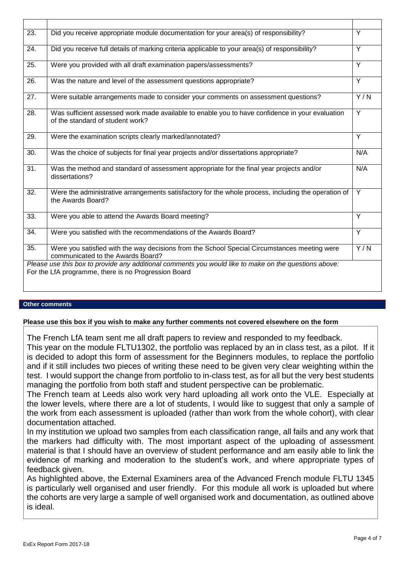| 23. | Did you receive appropriate module documentation for your area(s) of responsibility?                                                                          | Y              |
|-----|---------------------------------------------------------------------------------------------------------------------------------------------------------------|----------------|
| 24. | Did you receive full details of marking criteria applicable to your area(s) of responsibility?                                                                | $\overline{Y}$ |
| 25. | Were you provided with all draft examination papers/assessments?                                                                                              | Y              |
| 26. | Was the nature and level of the assessment questions appropriate?                                                                                             | $\overline{Y}$ |
| 27. | Were suitable arrangements made to consider your comments on assessment questions?                                                                            | Y/N            |
| 28. | Was sufficient assessed work made available to enable you to have confidence in your evaluation<br>of the standard of student work?                           | Y              |
| 29. | Were the examination scripts clearly marked/annotated?                                                                                                        | Y              |
| 30. | Was the choice of subjects for final year projects and/or dissertations appropriate?                                                                          | N/A            |
| 31. | Was the method and standard of assessment appropriate for the final year projects and/or<br>dissertations?                                                    | N/A            |
| 32. | Were the administrative arrangements satisfactory for the whole process, including the operation of<br>the Awards Board?                                      | Y              |
| 33. | Were you able to attend the Awards Board meeting?                                                                                                             | Y              |
| 34. | Were you satisfied with the recommendations of the Awards Board?                                                                                              | $\overline{Y}$ |
| 35. | Were you satisfied with the way decisions from the School Special Circumstances meeting were<br>communicated to the Awards Board?                             | Y/N            |
|     | Please use this box to provide any additional comments you would like to make on the questions above:<br>For the LfA programme, there is no Progression Board |                |

# **Other comments**

# **Please use this box if you wish to make any further comments not covered elsewhere on the form**

The French LfA team sent me all draft papers to review and responded to my feedback.

This year on the module FLTU1302, the portfolio was replaced by an in class test, as a pilot. If it is decided to adopt this form of assessment for the Beginners modules, to replace the portfolio and if it still includes two pieces of writing these need to be given very clear weighting within the test. I would support the change from portfolio to in-class test, as for all but the very best students managing the portfolio from both staff and student perspective can be problematic.

The French team at Leeds also work very hard uploading all work onto the VLE. Especially at the lower levels, where there are a lot of students, I would like to suggest that only a sample of the work from each assessment is uploaded (rather than work from the whole cohort), with clear documentation attached.

In my institution we upload two samples from each classification range, all fails and any work that the markers had difficulty with. The most important aspect of the uploading of assessment material is that I should have an overview of student performance and am easily able to link the evidence of marking and moderation to the student's work, and where appropriate types of feedback given.

As highlighted above, the External Examiners area of the Advanced French module FLTU 1345 is particularly well organised and user friendly. For this module all work is uploaded but where the cohorts are very large a sample of well organised work and documentation, as outlined above is ideal.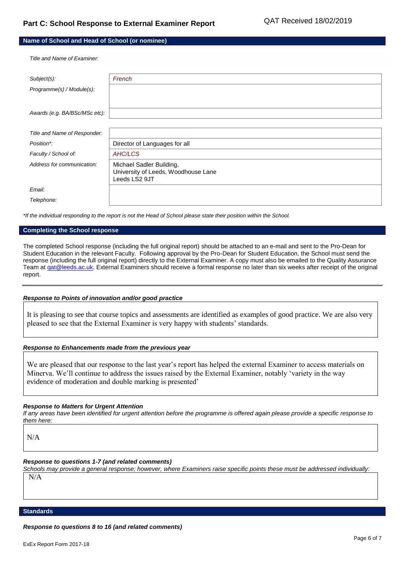| Name of School and Head of School (or nominee) |  |  |
|------------------------------------------------|--|--|
|------------------------------------------------|--|--|

*Title and Name of Examiner:*

| Subject(s):                   | French                                                                           |
|-------------------------------|----------------------------------------------------------------------------------|
| Programme(s) / Module(s):     |                                                                                  |
|                               |                                                                                  |
| Awards (e.g. BA/BSc/MSc etc): |                                                                                  |
|                               |                                                                                  |
| Title and Name of Responder:  |                                                                                  |
| Position*:                    | Director of Languages for all                                                    |
| Faculty / School of:          | AHC/LCS                                                                          |
| Address for communication:    | Michael Sadler Building,<br>University of Leeds, Woodhouse Lane<br>Leeds LS2 9JT |
| Email:                        |                                                                                  |
| Telephone:                    |                                                                                  |
|                               |                                                                                  |

*\*If the individual responding to the report is not the Head of School please state their position within the School.*

#### **Completing the School response**

The completed School response (including the full original report) should be attached to an e-mail and sent to the Pro-Dean for Student Education in the relevant Faculty. Following approval by the Pro-Dean for Student Education, the School must send the response (including the full original report) directly to the External Examiner. A copy must also be emailed to the Quality Assurance Team at gat@leeds.ac.uk. External Examiners should receive a formal response no later than six weeks after receipt of the original report.

#### *Response to Points of innovation and/or good practice*

It is pleasing to see that course topics and assessments are identified as examples of good practice. We are also very pleased to see that the External Examiner is very happy with students' standards.

#### *Response to Enhancements made from the previous year*

We are pleased that our response to the last year's report has helped the external Examiner to access materials on Minerva. We'll continue to address the issues raised by the External Examiner, notably 'variety in the way evidence of moderation and double marking is presented'

#### *Response to Matters for Urgent Attention*

*If any areas have been identified for urgent attention before the programme is offered again please provide a specific response to them here:*

N/A

#### *Response to questions 1-7 (and related comments)*

*Schools may provide a general response; however, where Examiners raise specific points these must be addressed individually:* N/A

#### **Standards**

*Response to questions 8 to 16 (and related comments)*